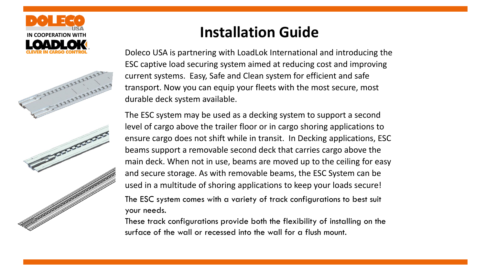



Doleco USA is partnering with LoadLok International and introducing the ESC captive load securing system aimed at reducing cost and improving current systems. Easy, Safe and Clean system for efficient and safe transport. Now you can equip your fleets with the most secure, most durable deck system available.

The ESC system may be used as a decking system to support a second level of cargo above the trailer floor or in cargo shoring applications to ensure cargo does not shift while in transit. In Decking applications, ESC beams support a removable second deck that carries cargo above the main deck. When not in use, beams are moved up to the ceiling for easy and secure storage. As with removable beams, the ESC System can be used in a multitude of shoring applications to keep your loads secure! The ESC system comes with a variety of track configurations to best suit your needs.

These track configurations provide both the flexibility of installing on the surface of the wall or recessed into the wall for a flush mount.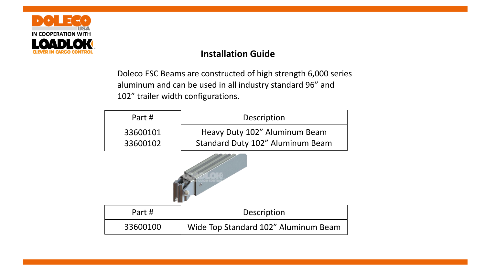

Doleco ESC Beams are constructed of high strength 6,000 series aluminum and can be used in all industry standard 96" and 102" trailer width configurations.

| Part #   | Description                      |  |
|----------|----------------------------------|--|
| 33600101 | Heavy Duty 102" Aluminum Beam    |  |
| 33600102 | Standard Duty 102" Aluminum Beam |  |



| Part #   | Description                          |  |
|----------|--------------------------------------|--|
| 33600100 | Wide Top Standard 102" Aluminum Beam |  |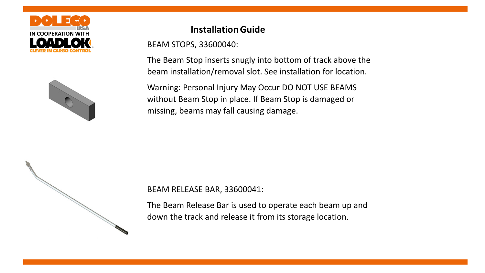



BEAM STOPS, 33600040:

The Beam Stop inserts snugly into bottom of track above the beam installation/removal slot. See installation for location.

Warning: Personal Injury May Occur DO NOT USE BEAMS without Beam Stop in place. If Beam Stop is damaged or missing, beams may fall causing damage.



The Beam Release Bar is used to operate each beam up and down the track and release it from its storage location.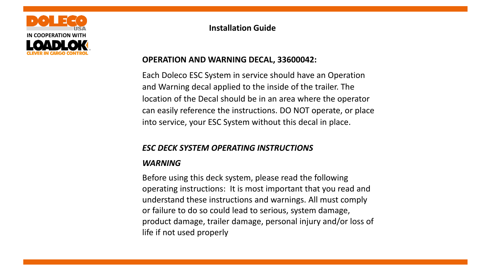

# **OPERATION AND WARNING DECAL, 33600042:**

Each Doleco ESC System in service should have an Operation and Warning decal applied to the inside of the trailer. The location of the Decal should be in an area where the operator can easily reference the instructions. DO NOT operate, or place into service, your ESC System without this decal in place.

### *ESC DECK SYSTEM OPERATING INSTRUCTIONS*

### *WARNING*

Before using this deck system, please read the following operating instructions: It is most important that you read and understand these instructions and warnings. All must comply or failure to do so could lead to serious, system damage, product damage, trailer damage, personal injury and/or loss of life if not used properly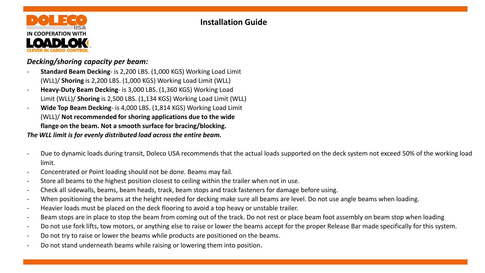

### *Decking/shoring capacity per beam:*

- **Standard Beam Decking** is 2,200 LBS. (1,000 KGS) Working Load Limit (WLL)/ **Shoring** is 2,200 LBS. (1,000 KGS) Working Load Limit (WLL)
- **Heavy-Duty Beam Decking** is 3,000 LBS. (1,360 KGS) Working Load Limit (WLL)/ **Shoring** is 2,500 LBS. (1,134 KGS) Working Load Limit (WLL)
- **Wide Top Beam Decking** is 4,000 LBS. (1,814 KGS) Working Load Limit (WLL)/ **Not recommended for shoring applications due to the wide flange on the beam. Not a smooth surface for bracing/blocking.**

*The WLL limit is for evenly distributed load across the entire beam.* 

- Due to dynamic loads during transit, Doleco USA recommends that the actual loads supported on the deck system not exceed 50% of the working load limit.
- Concentrated or Point loading should not be done. Beams may fail.
- Store all beams to the highest position closest to ceiling within the trailer when not in use.
- Check all sidewalls, beams, beam heads, track, beam stops and track fasteners for damage before using.
- When positioning the beams at the height needed for decking make sure all beams are level. Do not use angle beams when loading.
- Heavier loads must be placed on the deck flooring to avoid a top heavy or unstable trailer.
- Beam stops are in place to stop the beam from coming out of the track. Do not rest or place beam foot assembly on beam stop when loading
- Do not use fork lifts, tow motors, or anything else to raise or lower the beams accept for the proper Release Bar made specifically for this system.
- Do not try to raise or lower the beams while products are positioned on the beams.
- Do not stand underneath beams while raising or lowering them into position.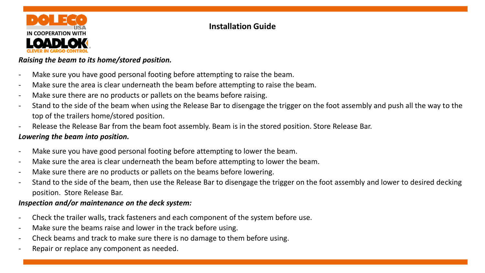

### *Raising the beam to its home/stored position.*

- Make sure you have good personal footing before attempting to raise the beam.
- Make sure the area is clear underneath the beam before attempting to raise the beam.
- Make sure there are no products or pallets on the beams before raising.
- Stand to the side of the beam when using the Release Bar to disengage the trigger on the foot assembly and push all the way to the top of the trailers home/stored position.
- Release the Release Bar from the beam foot assembly. Beam is in the stored position. Store Release Bar.

### *Lowering the beam into position.*

- Make sure you have good personal footing before attempting to lower the beam.
- Make sure the area is clear underneath the beam before attempting to lower the beam.
- Make sure there are no products or pallets on the beams before lowering.
- Stand to the side of the beam, then use the Release Bar to disengage the trigger on the foot assembly and lower to desired decking position. Store Release Bar.

### *Inspection and/or maintenance on the deck system:*

- Check the trailer walls, track fasteners and each component of the system before use.
- Make sure the beams raise and lower in the track before using.
- Check beams and track to make sure there is no damage to them before using.
- Repair or replace any component as needed.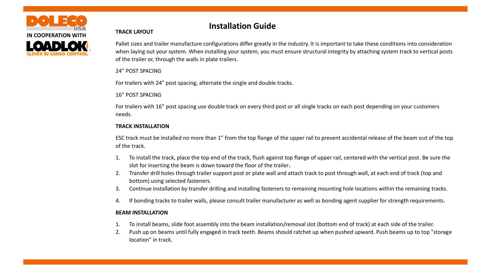

#### **TRACK LAYOUT**

Pallet sizes and trailer manufacture configurations differ greatly in the industry. It is important to take these conditions into consideration when laying out your system. When installing your system, you must ensure structural integrity by attaching system track to vertical posts of the trailer or, through the walls in plate trailers.

#### 24" POST SPACING

For trailers with 24" post spacing, alternate the single and double tracks.

16" POST SPACING

For trailers with 16" post spacing use double track on every third post or all single tracks on each post depending on your customers needs.

#### **TRACK INSTALLATION**

ESC track must be installed no more than 1" from the top flange of the upper rail to prevent accidental release of the beam out of the top of the track.

- 1. To install the track, place the top end of the track, flush against top flange of upper rail, centered with the vertical post. Be sure the slot for inserting the beam is down toward the floor of the trailer**.**
- 2. Transfer drill holes through trailer support post or plate wall and attach track to post through wall, at each end of track (top and bottom) using selected fasteners.
- 3. Continue installation by transfer drilling and installing fasteners to remaining mounting hole locations within the remaining tracks.
- 4. If bonding tracks to trailer walls, please consult trailer manufacturer as well as bonding agent supplier for strength requirements.

#### **BEAM INSTALLATION**

- 1. To install beams, slide foot assembly into the beam installation/removal slot (bottom end of track) at each side of the trailer.
- 2. Push up on beams until fully engaged in track teeth. Beams should ratchet up when pushed upward. Push beams up to top "storage location" in track.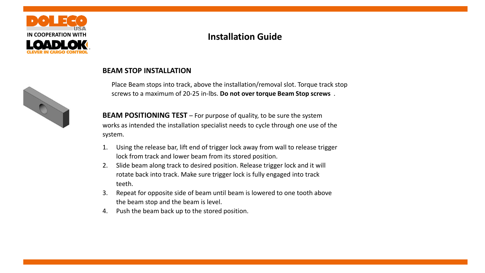

# **IN COOPERATION WITH Installation Guide**



### **BEAM STOP INSTALLATION**

Place Beam stops into track, above the installation/removal slot. Torque track stop screws to a maximum of 20-25 in-lbs. **Do not over torque Beam Stop screws** .

**BEAM POSITIONING TEST** – For purpose of quality, to be sure the system works as intended the installation specialist needs to cycle through one use of the system.

- 1. Using the release bar, lift end of trigger lock away from wall to release trigger lock from track and lower beam from its stored position.
- 2. Slide beam along track to desired position. Release trigger lock and it will rotate back into track. Make sure trigger lock is fully engaged into track teeth.
- 3. Repeat for opposite side of beam until beam is lowered to one tooth above the beam stop and the beam is level.
- 4. Push the beam back up to the stored position.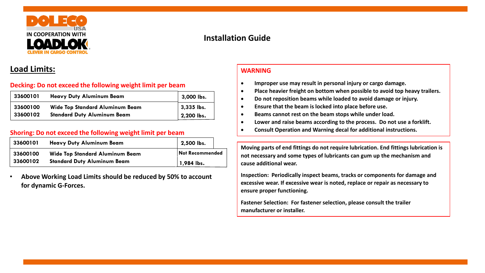

### **Load Limits:**

#### **Decking: Do not exceed the following weight limit per beam**

| 33600101 | <b>Heavy Duty Aluminum Beam</b>        | 3,000 lbs.   |
|----------|----------------------------------------|--------------|
| 33600100 | <b>Wide Top Standard Aluminum Beam</b> | $3,335$ lbs. |
| 33600102 | <b>Standard Duty Aluminum Beam</b>     | 2,200 lbs.   |

#### **Shoring: Do not exceed the following weight limit per beam**

| 33600101 | <b>Heavy Duty Aluminum Beam</b>        | 2,500 lbs.             |
|----------|----------------------------------------|------------------------|
| 33600100 | <b>Wide Top Standard Aluminum Beam</b> | <b>Not Recommended</b> |
| 33600102 | <b>Standard Duty Aluminum Beam</b>     | 1,984 lbs.             |

• **Above Working Load Limits should be reduced by 50% to account for dynamic G-Forces.**

#### **WARNING**

- **Improper use may result in personal injury or cargo damage.**
- **Place heavier freight on bottom when possible to avoid top heavy trailers.**
- **Do not reposition beams while loaded to avoid damage or injury.**
- **Ensure that the beam is locked into place before use.**
- **Beams cannot rest on the beam stops while under load.**
- **Lower and raise beams according to the process. Do not use a forklift.**
- **Consult Operation and Warning decal for additional instructions.**

**Moving parts of end fittings do not require lubrication. End fittings lubrication is not necessary and some types of lubricants can gum up the mechanism and cause additional wear.**

**Inspection: Periodically inspect beams, tracks or components for damage and excessive wear. If excessive wear is noted, replace or repair as necessary to ensure proper functioning.**

**Fastener Selection: For fastener selection, please consult the trailer manufacturer or installer.**